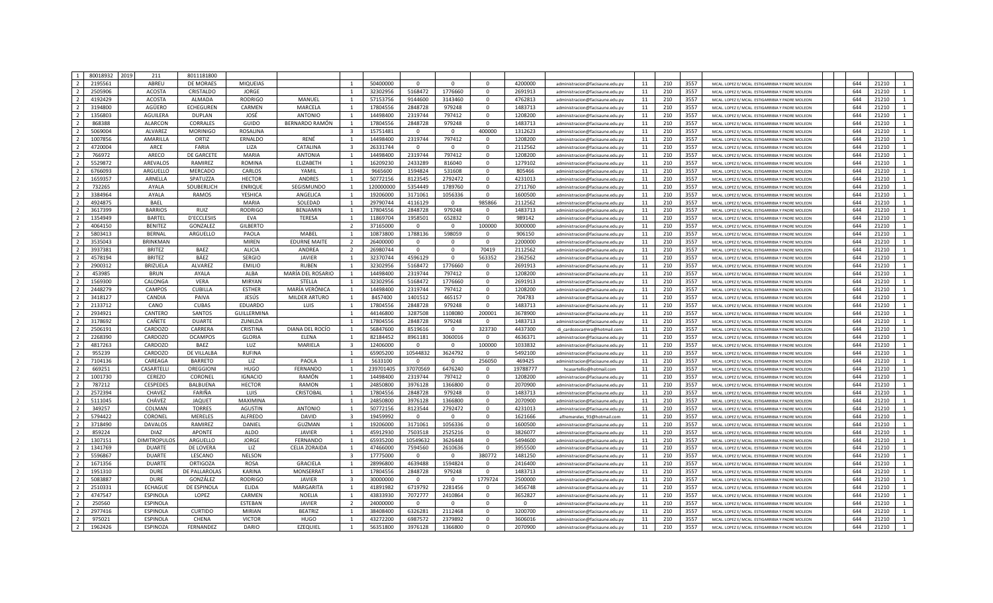| $\overline{1}$ | 80018932           | 2019 | 211                            | 8011181800           |                      |                     |                         |                      |                     |                       |                       |                    |                                                                    |          |            |              |                                                                                                      |            |                |                |
|----------------|--------------------|------|--------------------------------|----------------------|----------------------|---------------------|-------------------------|----------------------|---------------------|-----------------------|-----------------------|--------------------|--------------------------------------------------------------------|----------|------------|--------------|------------------------------------------------------------------------------------------------------|------------|----------------|----------------|
| $\overline{2}$ | 2195561            |      | ABREU                          | <b>DE MORAES</b>     | <b>MIQUEIAS</b>      |                     |                         | 50400000             | $\Omega$            | $\Omega$              | $\Omega$              | 4200000            | administracion@facisaune.edu.py                                    | 11       | 210        | 3557         | MCAL, LOPEZ E/ MCAL, ESTIGARRIBIA Y PADRE MOLEON                                                     | 644        | 21210          |                |
| $\overline{2}$ | 2505906            |      | <b>ACOSTA</b>                  | CRISTALDO            | <b>JORGE</b>         |                     |                         | 32302956             | 5168472             | 1776660               | $\Omega$              | 2691913            | administracion@facisaune.edu.pv                                    | 11       | 210        | 3557         | MCAL, LOPEZ E/ MCAL, ESTIGARRIBIA Y PADRE MOLEON                                                     | 644        | 21210          | $\overline{1}$ |
| $\overline{2}$ | 4192429            |      | <b>ACOSTA</b>                  | ALMADA               | <b>RODRIGO</b>       | MANUEL              |                         | 57153756             | 9144600             | 3143460               | $\mathbf 0$           | 4762813            | administracion@facisaune.edu.py                                    | 11       | 210        | 3557         | MCAL. LOPEZ E/ MCAL. ESTIGARRIBIA Y PADRE MOLEON                                                     | 644        | 21210          | 1              |
| $\overline{2}$ | 3194800            |      | AGÜERO                         | ECHEGUREN            | CARMEN               | MARCELA             |                         | 17804556             | 2848728             | 979248                | $\mathbf 0$           | 1483713            | administracion@facisaune.edu.py                                    | 11       | 210        | 3557         | MCAL. LOPEZ E/ MCAL. ESTIGARRIBIA Y PADRE MOLEON                                                     | 644        | 21210          | 1              |
| $\overline{2}$ | 1356803            |      | <b>AGUILERA</b>                | <b>DUPLAN</b>        | JOSÉ                 | <b>ANTONIO</b>      |                         | 14498400             | 2319744             | 797412                | $\Omega$              | 1208200            | administracion@facisaune.edu.py                                    | 11       | 210        | 3557         | MCAL. LOPEZ E/ MCAL. ESTIGARRIBIA Y PADRE MOLEON                                                     | 644        | 21210          | 1              |
| $\overline{2}$ | 868388             |      | <b>ALARCON</b>                 | CORRALES             | GUIDO                | BERNARDO RAMÓN      |                         | 17804556             | 2848728             | 979248                | $\mathbf 0$           | 1483713            | administracion@facisaune.edu.py                                    | 11       | 210        | 3557         | MCAL. LOPEZ E/ MCAL. ESTIGARRIBIA Y PADRE MOLEON                                                     | 644        | 21210          | $\mathbf{1}$   |
| $\overline{2}$ | 5069004            |      | <b>ALVAREZ</b>                 | <b>MORINIGO</b>      | <b>ROSALINA</b>      |                     | $\overline{3}$          | 15751481             | $\Omega$            | $\Omega$              | 400000                | 1312623            | administracion@facisaune.edu.pv                                    | 11       | 210        | 3557         | MCAL LOPEZ E/ MCAL. ESTIGARRIBIA Y PADRE MOLEON                                                      | 644        | 21210          | $\mathbf{1}$   |
| $\overline{2}$ | 1007856            |      | AMARILLA                       | ORTIZ                | ERNALDO              | RENÉ                |                         | 14498400             | 2319744             | 797412                | $\Omega$              | 1208200            | administracion@facisaune.edu.py                                    | 11       | 210        | 3557         | MCAL. LOPEZ E/ MCAL. ESTIGARRIBIA Y PADRE MOLEON                                                     | 644        | 21210          | $\mathbf{1}$   |
| $\overline{2}$ | 4720004            |      | ARCE                           | FARIA                | LIZA                 | CATALINA            | ્વ                      | 26331744             | $\Omega$            | $\mathbf{0}$          | $\mathbf{0}$          | 2112562            | administracion@facisaune.edu.py                                    | 11       | 210        | 3557         | MCAL. LOPEZ E/ MCAL. ESTIGARRIBIA Y PADRE MOLEON                                                     | 644        | 21210          |                |
| $\overline{2}$ | 766972             |      | ARECO                          | DE GARCETE           | MARIA                | <b>ANTONIA</b>      | $\overline{1}$          | 14498400             | 2319744             | 797412                | $\mathbf 0$           | 1208200            | administracion@facisaune.edu.py                                    | 11       | 210        | 3557         | MCAL. LOPEZ E/ MCAL. ESTIGARRIBIA Y PADRE MOLEON                                                     | 644        | 21210          | 1              |
| $\overline{2}$ | 5529872            |      | AREVALOS                       | RAMIREZ              | <b>ROMINA</b>        | <b>ELIZABETH</b>    |                         | 16209230             | 2433289             | 816040                | $\Omega$              | 1279102            | administracion@facisaune.edu.py                                    | 11       | 210        | 3557         | MCAL. LOPEZ E/ MCAL. ESTIGARRIBIA Y PADRE MOLEON                                                     | 644        | 21210          | 1              |
| $\overline{2}$ | 6766093            |      | ARGUELLO                       | <b>MERCADO</b>       | CARLOS               | YAMIL               |                         | 9665600              | 1594824             | 531608                | $\Omega$              | 805466             | administracion@facisaune.edu.py                                    | 11       | 210        | 3557         | MCAL. LOPEZ E/ MCAL. ESTIGARRIBIA Y PADRE MOLEON                                                     | 644        | 21210          |                |
| $\overline{2}$ | 1659357            |      | ARNELLA                        | SPATUZZA             | <b>HECTOR</b>        | ANDRES              | $\overline{1}$          | 50772156             | 8123545             | 2792472               | $\mathbf 0$           | 4231013            | administracion@facisaune.edu.py                                    | 11       | 210        | 3557         | MCAL. LOPEZ E/ MCAL. ESTIGARRIBIA Y PADRE MOLEON                                                     | 644        | 21210          | $\mathbf{1}$   |
| $\overline{2}$ | 732265             |      | AYALA                          | SOUBERLICH           | <b>ENRIQUE</b>       | SEGISMUNDO          | $\overline{1}$          | 120000000            | 5354449             | 1789760               | $\Omega$              | 2711760            | administracion@facisaune.edu.pv                                    | 11       | 210        | 3557         | MCAL, LOPEZ E/ MCAL, ESTIGARRIBIA Y PADRE MOLEON                                                     | 644        | 21210          | $\mathbf{1}$   |
| $\overline{2}$ | 3384964            |      | AYALA                          | <b>RAMOS</b>         | YESHICA              | ANGELICA            |                         | 19206000             | 3171061             | 1056336               | $\mathbf{0}$          | 1600500            | administracion@facisaune.edu.py                                    | 11       | 210        | 3557         | MCAL, LOPEZ E/ MCAL, ESTIGARRIBIA Y PADRE MOLEON                                                     | 644        | 21210          | 1              |
| $\overline{2}$ | 4924875            |      | <b>BAEL</b>                    |                      | <b>MARIA</b>         | SOLEDAD             |                         | 29790744             | 4116129             | $\Omega$              | 985866                | 2112562            | administracion@facisaune.edu.py                                    | 11       | 210        | 3557         | MCAL. LOPEZ E/ MCAL. ESTIGARRIBIA Y PADRE MOLEON                                                     | 644        | 21210          | $\mathbf{1}$   |
| $\overline{2}$ | 3617399            |      | <b>BARRIOS</b>                 | RUIZ                 | <b>RODRIGO</b>       | BENJAMIN            |                         | 17804556             | 2848728             | 979248                | $\mathbf 0$           | 1483713            | administracion@facisaune.edu.py                                    | 11       | 210        | 3557         | MCAL. LOPEZ E/ MCAL. ESTIGARRIBIA Y PADRE MOLEON                                                     | 644        | 21210          | 1              |
| $\overline{2}$ | 1354949            |      | <b>BARTEL</b>                  | D'ECCLESIIS          | <b>EVA</b>           | <b>TERESA</b>       |                         | 11869704             | 1958501             | 652832                | $\Omega$              | 989142             | administracion@facisaune.edu.py                                    | 11       | 210        | 3557         | MCAL. LOPEZ E/ MCAL. ESTIGARRIBIA Y PADRE MOLEON                                                     | 644        | 21210          | 1              |
| $\overline{2}$ | 4064150            |      | <b>BENITEZ</b>                 | GONZALEZ             | <b>GILBERTO</b>      |                     | $\overline{2}$          | 37165000             | $\Omega$            | $\Omega$              | 100000                | 3000000            | administracion@facisaune.edu.py                                    | 11       | 210        | 3557         | MCAL. LOPEZ E/ MCAL. ESTIGARRIBIA Y PADRE MOLEON                                                     | 644        | 21210          | $\mathbf{1}$   |
| $\overline{2}$ | 5803413            |      | <b>BERNAL</b>                  | ARGUELLO             | PAOLA                | MABEL               | $\overline{1}$          | 10873800             | 1788136             | 598059                | $\mathbf 0$           | 906150             | administracion@facisaune.edu.py                                    | 11       | 210        | 3557         | MCAL. LOPEZ E/ MCAL. ESTIGARRIBIA Y PADRE MOLEON                                                     | 644        | 21210          | $\mathbf{1}$   |
| $\overline{2}$ | 3535043            |      | <b>BRINKMAN</b>                |                      | <b>MIREN</b>         | <b>EDURNE MAITE</b> | $\overline{2}$          | 26400000             | $\Omega$            | $\Omega$              | $\Omega$              | 2200000            | administracion@facisaune.edu.pv                                    | 11       | 210        | 3557         | MCAL, LOPEZ E/ MCAL, ESTIGARRIBIA Y PADRE MOLEON                                                     | 644        | 21210          | $\mathbf{1}$   |
| $\overline{2}$ | 3937381            |      | <b>BRITEZ</b>                  | BAEZ                 | ALICIA               | ANDREA              | $\overline{2}$          | 26980744             | $\mathbf{0}$        | $\mathbf{0}$          | 70419                 | 2112562            | administracion@facisaune.edu.pv                                    | 11       | 210        | 3557         | MCAL, LOPEZ E/ MCAL, ESTIGARRIBIA Y PADRE MOLEON                                                     | 644        | 21210          | 1              |
| $\overline{2}$ | 4578194            |      | <b>BRITEZ</b>                  | BÁEZ                 | <b>SERGIO</b>        | <b>JAVIER</b>       |                         | 32370744             | 4596129             | $\mathbf{0}$          | 563352                | 2362562            | administracion@facisaune.edu.py                                    | 11       | 210        | 3557         | MCAL, LOPEZ E/ MCAL, ESTIGARRIBIA Y PADRE MOLEON                                                     | 644        | 21210          | $\overline{1}$ |
| $\overline{2}$ | 2900312            |      | BRIZUELA                       | ALVAREZ              | <b>EMILIO</b>        | <b>RUBEN</b>        |                         | 32302956             | 5168472             | 1776660               | $\Omega$              | 2691913            | administracion@facisaune.edu.py                                    | 11       | 210        | 3557         | MCAL. LOPEZ E/ MCAL. ESTIGARRIBIA Y PADRE MOLEON                                                     | 644        | 21210          | 1              |
| $\overline{2}$ | 453985             |      | <b>BRUN</b>                    | AYALA                | ALBA                 | MARÍA DEL ROSARIO   |                         | 14498400             | 2319744             | 797412                | $\Omega$              | 1208200            | administracion@facisaune.edu.ny                                    | 11       | 210        | 3557         | MCAL. LOPEZ E/ MCAL. ESTIGARRIBIA Y PADRE MOLEON                                                     | 644        | 21210          | 1              |
| $\overline{2}$ | 1569300            |      | CALONGA                        | <b>VERA</b>          | <b>MIRYAN</b>        | STELLA              |                         | 32302956             | 5168472             | 1776660               | $\Omega$              | 2691913            | administracion@facisaune.edu.py                                    | 11       | 210        | 3557         | MCAL. LOPEZ E/ MCAL. ESTIGARRIBIA Y PADRE MOLEON                                                     | 644        | 21210          |                |
| $\overline{2}$ | 2448279            |      | <b>CAMPOS</b>                  | <b>CUBILLA</b>       | <b>ESTHER</b>        | MARÍA VERÓNICA      |                         | 14498400             | 2319744             | 797412                | $\Omega$              | 1208200            | administracion@facisaune.edu.ny                                    | 11       | 210        | 3557         | MCAL. LOPEZ E/ MCAL. ESTIGARRIBIA Y PADRE MOLEON                                                     | 644        | 21210          | 1              |
| $\overline{2}$ | 3418127            |      | CANDIA                         | PAIVA                | JESÚS                | MILDER ARTURO       |                         | 8457400              | 1401512             | 465157                | $\Omega$              | 704783             | administracion@facisaune.edu.pv                                    | 11       | 210        | 3557         | MCAL. LOPEZ E/ MCAL. ESTIGARRIBIA Y PADRE MOLEON                                                     | 644        | 21210          | $\mathbf{1}$   |
| $\overline{2}$ | 2133712            |      | CANO                           | <b>CUBAS</b>         | EDUARDO              | LUIS                |                         | 17804556             | 2848728             | 979248                | $\mathbf{0}$          | 1483713            | administracion@facisaune.edu.p                                     | 11       | 210        | 3557         | MCAL. LOPEZ E/ MCAL. ESTIGARRIBIA Y PADRE MOLEON                                                     | 644        | 21210          | 1              |
| $\overline{2}$ | 2934921            |      | CANTERO                        | SANTOS               | GUILLERMINA          |                     |                         | 44146800             | 3287508             | 1108080               | 200001                | 3678900            | administracion@facisaune.edu.py                                    | 11       | 210        | 3557         | MCAL, LOPEZ E/ MCAL, ESTIGARRIBIA Y PADRE MOLEON                                                     | 644        | 21210          | $\mathbf{1}$   |
| $\overline{2}$ | 3178692            |      | CAÑETE                         | <b>DUARTE</b>        | ZUNILDA              |                     |                         | 17804556             | 2848728             | 979248                | $\mathbf 0$           | 1483713            | administracion@facisaune.edu.py                                    | 11       | 210        | 3557         | MCAL. LOPEZ E/ MCAL. ESTIGARRIBIA Y PADRE MOLEON                                                     | 644        | 21210          | 1              |
| $\overline{2}$ | 2506191            |      | CARDOZO                        | CARRERA              | <b>CRISTINA</b>      | DIANA DEL ROCÍO     |                         | 56847600             | 8519616             | $\Omega$              | 323730                | 4437300            | di cardozocarrera@hotmail.com                                      | 11       | 210        | 3557         | MCAL. LOPEZ E/ MCAL. ESTIGARRIBIA Y PADRE MOLEON                                                     | 644        | 21210          | 1              |
| $\overline{2}$ | 2268390            |      | CARDOZO                        | <b>OCAMPOS</b>       | <b>GLORIA</b>        | <b>ELENA</b>        | $\mathbf{1}$            | 82184452             | 8961181             | 3060016               | $\Omega$              | 4636371            | administracion@facisaune.edu.py                                    | 11       | 210        | 3557         | MCAL. LOPEZ E/ MCAL. ESTIGARRIBIA Y PADRE MOLEON                                                     | 644        | 21210          | 1              |
| $\overline{2}$ | 4817263            |      | CARDOZO                        | BAEZ                 | LUZ                  | MARIELA             | $\overline{\mathbf{3}}$ | 12406000             | $\Omega$            | $^{\circ}$            | 100000                | 1033832            | administracion@facisaune.edu.pv                                    | 11       | 210        | 3557         | MCAL. LOPEZ E/ MCAL. ESTIGARRIBIA Y PADRE MOLEON                                                     | 644        | 21210          | 1              |
| $\overline{2}$ | 955239             |      | CARDOZO                        | DE VILLALBA          | <b>RUFINA</b>        |                     | $\overline{1}$          | 65905200             | 10544832            | 3624792               | $\mathbf{0}$          | 5492100            | administracion@facisaune.edu.pv                                    | 11       | 210        | 3557         | MCAL. LOPEZ E/ MCAL. ESTIGARRIBIA Y PADRE MOLEON                                                     | 644        | 21210          | 1              |
| $\overline{2}$ | 7104136            |      | CAREAGA                        | <b>BARRETO</b>       | LIZ                  | PAOLA               |                         | 5633100              | $\Omega$            | $\mathbf{0}$          | 256050                | 469425             | administracion@facisaune.edu.py                                    | 11       | 210        | 3557         | MCAL, LOPEZ E/ MCAL, ESTIGARRIBIA Y PADRE MOLEON                                                     | 644        | 21210          | 1              |
| $\overline{2}$ | 669251             |      | CASARTELLI                     | OREGGIONI            | <b>HUGO</b>          | FERNANDO            |                         | 239701405            | 37070569            | 6476240               | $\Omega$              | 19788777           | hcasartellio@hotmail.com                                           | 11       | 210        | 3557         | MCAL, LOPEZ E/ MCAL, ESTIGARRIBIA Y PADRE MOLEON                                                     | 644        | 21210          | $\mathbf{1}$   |
| $\overline{2}$ | 1001730            |      | <b>CEREZO</b>                  | CORONEL              | <b>IGNACIO</b>       | RAMÓN               |                         | 14498400             | 2319744             | 797412                | $\mathbf 0$           | 1208200            | administracion@facisaune.edu.py                                    | 11       | 210        | 3557         | MCAL. LOPEZ E/ MCAL. ESTIGARRIBIA Y PADRE MOLEON                                                     | 644        | 21210          | 1              |
| $\overline{2}$ | 787212             |      | <b>CESPEDES</b>                | BALBUENA             | <b>HECTOR</b>        | <b>RAMON</b>        |                         | 24850800             | 3976128             | 1366800               | $\mathbf 0$           | 2070900            | administracion@facisaune.edu.pv                                    | 11       | 210        | 3557         | MCAL, LOPEZ E/ MCAL, ESTIGARRIBIA Y PADRE MOLEON                                                     | 644        | 21210          | 1              |
| $\overline{2}$ | 2572394            |      | CHAVEZ                         | FARIÑA               | LUIS                 | CRISTOBAL           |                         | 17804556             | 2848728             | 979248                | $\Omega$              | 1483713            | administracion@facisaune.edu.py                                    | 11       | 210        | 3557         | MCAL. LOPEZ E/ MCAL. ESTIGARRIBIA Y PADRE MOLEON                                                     | 644        | 21210          | 1              |
| $\overline{2}$ | 5111045            |      | <b>CHÁVEZ</b>                  | <b>JAQUET</b>        | <b>MAXIMINA</b>      |                     | 1                       | 24850800             | 3976128             | 1366800               | $\Omega$              | 2070900            | administracion@facisaune.edu.ny                                    | 11       | 210        | 3557         | MCAL. LOPEZ E/ MCAL. ESTIGARRIBIA Y PADRE MOLEON                                                     | 644        | 21210          | $\mathbf{1}$   |
| $\overline{2}$ | 349257             |      | COLMAN                         | <b>TORRES</b>        | <b>AGUSTIN</b>       | <b>ANTONIO</b>      | $\overline{1}$          | 50772156             | 8123544             | 2792472               | $\mathbf{0}$          | 4231013            | administracion@facisaune.edu.py                                    | 11       | 210        | 3557         | MCAL. LOPEZ E/ MCAL. ESTIGARRIBIA Y PADRE MOLEON                                                     | 644        | 21210          | 1              |
| $\overline{2}$ | 5794422            |      | CORONEL                        | <b>MERELES</b>       | <b>ALFREDO</b>       | DAVID               | $\overline{\mathbf{3}}$ | 19459992             | $\Omega$            | $\mathbf{0}$          | $\Omega$              | 1621666            |                                                                    | 11       | 210        | 3557         |                                                                                                      | 644        | 21210          | $\mathbf{1}$   |
| $\overline{2}$ | 3718490            |      | <b>DAVALOS</b>                 | RAMIREZ              | DANIEL               | <b>GUZMAN</b>       | 1                       | 19206000             | 3171061             | 1056336               | $\Omega$              | 1600500            | alfremereles 93@hotmail.com<br>administracion@facisaune.edu.pv     | 11       | 210        | 3557         | MCAL, LOPEZ E/ MCAL, ESTIGARRIBIA Y PADRE MOLEON<br>MCAL, LOPEZ E/ MCAL, ESTIGARRIBIA Y PADRE MOLEON | 644        | 21210          | 1              |
| $\overline{2}$ | 859224             |      | <b>DIAZ</b>                    | <b>APONTE</b>        | <b>ALDO</b>          | <b>JAVIER</b>       |                         | 45912930             | 7503518             | 2525216               | $\mathbf 0$           | 3826077            |                                                                    | 11       | 210        | 3557         |                                                                                                      | 644        | 21210          | 1              |
| $\overline{2}$ | 1307151            |      | <b>DIMITROPULOS</b>            | ARGUELLO             |                      |                     |                         | 65935200             | 10549632            | 3626448               | $\mathbf 0$           | 5494600            | administracion@facisaune.edu.py                                    |          | 210        | 3557         | MCAL. LOPEZ E/ MCAL. ESTIGARRIBIA Y PADRE MOLEON                                                     | 644        | 21210          |                |
| $\overline{2}$ |                    |      |                                |                      | <b>JORGE</b>         | <b>FERNANDO</b>     |                         |                      |                     |                       |                       |                    | administracion@facisaune.edu.pv                                    | 11       |            |              | MCAL. LOPEZ E/ MCAL. ESTIGARRIBIA Y PADRE MOLEON                                                     |            |                | 1              |
| $\overline{2}$ | 1341769<br>5596867 |      | <b>DUARTE</b><br><b>DUARTE</b> | DE LOVERA<br>LESCANO | LIZ<br><b>NELSON</b> | CELIA ZORAIDA       | $\overline{\mathbf{3}}$ | 47466000<br>17775000 | 7594560<br>$\Omega$ | 2610636<br>$^{\circ}$ | $\mathbf 0$<br>380772 | 3955500<br>1481250 | administracion@facisaune.edu.py<br>administracion@facisaune.edu.ny | 11<br>11 | 210<br>210 | 3557<br>3557 | MCAL. LOPEZ E/ MCAL. ESTIGARRIBIA Y PADRE MOLEON<br>MCAL. LOPEZ E/ MCAL. ESTIGARRIBIA Y PADRE MOLEON | 644<br>644 | 21210<br>21210 | $\mathbf{1}$   |
|                |                    |      |                                |                      |                      |                     |                         |                      |                     |                       |                       |                    |                                                                    |          |            |              |                                                                                                      |            |                |                |
| $\overline{2}$ | 1671356            |      | <b>DUARTE</b>                  | <b>ORTIGOZA</b>      | <b>ROSA</b>          | <b>GRACIELA</b>     | $\overline{1}$          | 28996800             | 4639488             | 1594824               | $\mathbf{0}$          | 2416400            | administracion@facisaune.edu.ny                                    | 11       | 210        | 3557         | MCAL, LOPEZ E/ MCAL, ESTIGARRIBIA Y PADRE MOLEON                                                     | 644        | 21210          | 1              |
| $\overline{2}$ | 1951310            |      | <b>DURE</b>                    | DE PALLAROLAS        | KARINA               | <b>MONSERRAT</b>    |                         | 17804556             | 2848728             | 979248                | $\mathbf{0}$          | 1483713            | administracion@facisaune.edu.py                                    | 11       | 210        | 3557         | MCAL, LOPEZ E/ MCAL, ESTIGARRIBIA Y PADRE MOLEON                                                     | 644        | 21210          | $\mathbf{1}$   |
| $\overline{2}$ | 5083887            |      | <b>DURE</b>                    | GONZÁLEZ             | RODRIGO              | <b>JAVIER</b>       | $\overline{\mathbf{3}}$ | 30000000             | $\Omega$            | $\mathbf{0}$          | 1779724               | 2500000            | administracion@facisaune.edu.pv                                    | 11       | 210        | 3557         | MCAL, LOPEZ E/ MCAL, ESTIGARRIBIA Y PADRE MOLEON                                                     | 644        | 21210          | 1              |
| $\overline{2}$ | 2510331            |      | <b>ECHAGUE</b>                 | DE ESPINOLA          | <b>ELIDA</b>         | MARGARITA           | $\mathbf{1}$            | 41891982             | 6719792             | 2281456               | $\mathbf 0$           | 3456748            | administracion@facisaune.edu.py                                    | 11       | 210        | 3557         | MCAL. LOPEZ E/ MCAL. ESTIGARRIBIA Y PADRE MOLEON                                                     | 644        | 21210          | 1              |
| $\overline{2}$ | 4747547            |      | ESPINOLA                       | LOPEZ                | CARMEN               | NOELIA              |                         | 43833930             | 7072777             | 2410864               | $\mathbf 0$           | 3652827            | administracion@facisaune.edu.pv                                    | 11       | 210        | 3557         | MCAL. LOPEZ E/ MCAL. ESTIGARRIBIA Y PADRE MOLEON                                                     | 644        | 21210          | 1              |
| $\overline{2}$ | 250560             |      | <b>ESPINOLA</b>                |                      | ESTEBAN              | <b>JAVIER</b>       | $\overline{2}$          | 24000000             | $\Omega$            | $\Omega$              | $\Omega$              | $\Omega$           | administracion@facisaune.edu.py                                    | 11       | 210        | 3557         | MCAL. LOPEZ E/ MCAL. ESTIGARRIBIA Y PADRE MOLEON                                                     | 644        | 21210          |                |
| $\overline{2}$ | 2977416            |      | ESPINOLA                       | <b>CURTIDO</b>       | <b>MIRIAN</b>        | <b>BEATRIZ</b>      | 1                       | 38408400             | 6326281             | 2112468               | $\mathbf 0$           | 3200700            | administracion@facisaune.edu.pv                                    | 11       | 210        | 3557         | MCAL. LOPEZ E/ MCAL. ESTIGARRIBIA Y PADRE MOLEON                                                     | 644        | 21210          | $\mathbf{1}$   |
| $\overline{2}$ | 975021             |      | <b>ESPINOLA</b>                | CHENA                | <b>VICTOR</b>        | <b>HUGO</b>         | $\overline{1}$          | 43272200             | 6987572             | 2379892               | $\Omega$              | 3606016            | administracion@facisaune.edu.pv                                    | 11       | 210        | 3557         | MCAL, LOPEZ E/ MCAL, ESTIGARRIBIA Y PADRE MOLEON                                                     | 644        | 21210          | $\mathbf{1}$   |
| $\overline{2}$ | 1962426            |      | <b>ESPINOZA</b>                | FERNANDEZ            | DARIO                | EZEQUIEL            | $\overline{1}$          | 56351800             | 3976128             | 1366800               | $\Omega$              | 2070900            | administracion@facisaune.edu.py                                    | 11       | 210        | 3557         | MCAL. LOPEZ E/ MCAL. ESTIGARRIBIA Y PADRE MOLEON                                                     | 644        | 21210          | $\overline{1}$ |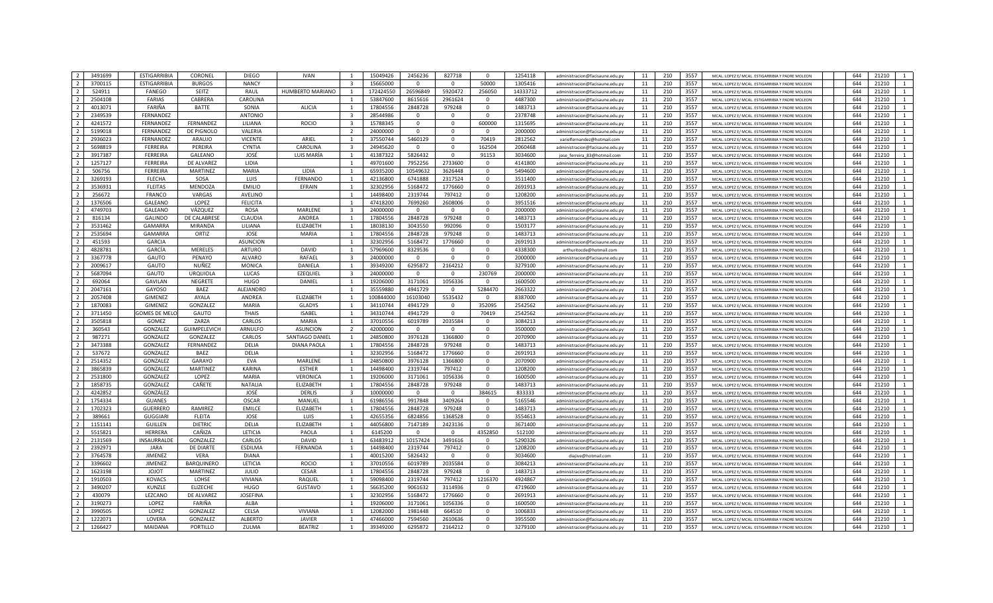| 3491699                             | <b>ESTIGARRIBIA</b>  | CORONEL             | <b>DIEGO</b>    | <b>IVAN</b>        |                          | 15049426  | 2456236     | 827718                  | $\Omega$     | 1254118  | administracion@facisaune.edu.nv | 11 | 210 | 3557 | MCAL, LOPEZ E/ MCAL, ESTIGARRIBIA Y PADRE MOLEON | 644 | 21210                   |
|-------------------------------------|----------------------|---------------------|-----------------|--------------------|--------------------------|-----------|-------------|-------------------------|--------------|----------|---------------------------------|----|-----|------|--------------------------------------------------|-----|-------------------------|
| $\overline{\phantom{a}}$<br>3700115 | <b>ESTIGARRIBIA</b>  | <b>BURGOS</b>       | <b>NANCY</b>    |                    |                          | 15665000  | $\Omega$    | $\overline{0}$          | 50000        | 1305416  | administracion@facisaune.edu.ny | 11 | 210 | 3557 | MCAL. LOPEZ E/ MCAL. ESTIGARRIBIA Y PADRE MOLEON | 644 | 21210<br>$\mathbf{1}$   |
| 524911                              | <b>FANEGO</b>        | SEITZ               | RAUL            | HUMBERTO MARIANO   |                          | 172424550 | 26596849    | 5920472                 | 256050       | 14333712 |                                 | 11 | 210 | 3557 |                                                  | 644 | 21210<br>1              |
| $\overline{z}$                      |                      | CABRERA             |                 |                    |                          |           |             |                         |              |          | administracion@facisaune.edu.py |    |     |      | MCAL. LOPEZ E/ MCAL. ESTIGARRIBIA Y PADRE MOLEON | 644 | $\mathbf{1}$            |
| 2504108                             | <b>FARIAS</b>        |                     | CAROLINA        |                    |                          | 53847600  | 8615616     | 2961624                 | $\mathbf{0}$ | 4487300  | administracion@facisaune.edu.py | 11 | 210 | 3557 | MCAL, LOPEZ E/ MCAL, ESTIGARRIBIA Y PADRE MOLEON |     | 21210                   |
| 4013071                             | FARIÑA               | <b>BATTE</b>        | SONIA           | <b>ALICIA</b>      |                          | 17804556  | 2848728     | 979248                  | $\mathbf 0$  | 1483713  | administracion@facisaune.edu.py | 11 | 210 | 3557 | MCAL, LOPEZ E/ MCAL, ESTIGARRIBIA Y PADRE MOLEON | 644 | 21210<br>$\mathbf{1}$   |
| 2349539                             | FERNANDEZ            |                     | <b>ANTONIO</b>  |                    | $\overline{3}$           | 28544986  |             | $\mathbf 0$             | $\mathbf 0$  | 2378748  | administracion@facisaune.edu.pv | 11 | 210 | 3557 | MCAL, LOPEZ E/ MCAL, ESTIGARRIBIA Y PADRE MOLEON | 644 | 21210<br>1              |
| 4241572                             | FERNANDEZ            | FERNANDEZ           | LILIANA         | <b>ROCIO</b>       | 3                        | 15788345  | $\mathbf 0$ | $\mathbf 0$             | 600000       | 1315695  | administracion@facisaune.edu.py | 11 | 210 | 3557 | MCAL. LOPEZ E/ MCAL. ESTIGARRIBIA Y PADRE MOLEON | 644 | 21210<br>$\mathbf{1}$   |
| 5199018                             | FERNANDEZ            | DE PIGNOLO          | VALERIA         |                    | $\overline{\phantom{a}}$ | 24000000  | $\Omega$    | $\Omega$                | $\Omega$     | 2000000  | administracion@facisaune.edu.pv | 11 | 210 | 3557 | MCAL, LOPEZ E/ MCAL, ESTIGARRIBIA Y PADRE MOLEON | 644 | 21210<br>$\mathbf{1}$   |
| 2936023                             | FERNANDEZ            | ARAUJO              | <b>VICENTE</b>  | ARIEL              | $\overline{1}$           | 37550744  | 5460129     | $\mathbf{0}$            | 70419        | 2812562  | varielfernandez@hotmail.com     | 11 | 210 | 3557 | MCAL. LOPEZ E/ MCAL. ESTIGARRIBIA Y PADRE MOLEON | 644 | 21210<br>$\mathbf{1}$   |
| 5698819                             | <b>FERREIRA</b>      | PEREIRA             | <b>CYNTIA</b>   | CAROLINA           | $\overline{3}$           | 24945620  | $\Omega$    | $\mathbf{0}$            | 162504       | 2060468  | administracion@facisaune.edu.py | 11 | 210 | 3557 | MCAL. LOPEZ E/ MCAL. ESTIGARRIBIA Y PADRE MOLEON | 644 | 21210<br>$\mathbf{1}$   |
| 3917387                             | <b>FERREIRA</b>      | GALEANO             | JOSÉ            | LUIS MARÍA         | $\overline{1}$           | 41387322  | 5826432     | $\mathbf 0$             | 91153        | 3034600  | jose_ferreira_83@hotmail.com    | 11 | 210 | 3557 | MCAL, LOPEZ E/ MCAL, ESTIGARRIBIA Y PADRE MOLEON | 644 | 21210<br>$\mathbf{1}$   |
| 1257127                             | <b>FERREIRA</b>      | <b>DE ALVAREZ</b>   | LIDIA           |                    |                          | 49701600  | 7952256     | 2733600                 | $\mathbf{0}$ | 4141800  | administracion@facisaune.edu.py | 11 | 210 | 3557 | MCAL. LOPEZ E/ MCAL. ESTIGARRIBIA Y PADRE MOLEON | 644 | 21210<br>$\mathbf{1}$   |
| 506756                              | <b>FERREIRA</b>      | MARTINEZ            | MARIA           | LIDIA              |                          | 65935200  | 10549632    | 3626448                 | $\mathbf 0$  | 5494600  | administracion@facisaune.edu.py | 11 | 210 | 3557 | MCAL. LOPEZ E/ MCAL. ESTIGARRIBIA Y PADRE MOLEON | 644 | $\mathbf{1}$<br>21210   |
| 3269193                             | <b>FLECHA</b>        | SOSA                | <b>LUIS</b>     | FERNANDO           | 1                        | 42136800  | 6741888     | 2317524                 | $\mathbf 0$  | 3511400  | administracion@facisaune.edu.py | 11 | 210 | 3557 | MCAL. LOPEZ E/ MCAL. ESTIGARRIBIA Y PADRE MOLEON | 644 | 21210<br>$\mathbf{1}$   |
| 3536931                             | <b>FLEITAS</b>       | MENDOZA             | <b>EMILIO</b>   | EFRAIN             | 1                        | 32302956  | 5168472     | 1776660                 | $\Omega$     | 2691913  | administracion@facisaune.edu.pv | 11 | 210 | 3557 | MCAL. LOPEZ E/ MCAL. ESTIGARRIBIA Y PADRE MOLEON | 644 | 21210<br>$\mathbf{1}$   |
| 256672                              | <b>FRANCO</b>        | VARGAS              | <b>AVELINO</b>  |                    | $\overline{1}$           | 14498400  | 2319744     | 797412                  | $\Omega$     | 1208200  | administracion@facisaune.edu.ny | 11 | 210 | 3557 | MCAL. LOPEZ E/ MCAL. ESTIGARRIBIA Y PADRE MOLEON | 644 | 21210<br>$\mathbf{1}$   |
| 1376506                             | <b>GALEANO</b>       | LOPEZ               | <b>FELICITA</b> |                    |                          | 47418200  | 7699260     | 2608006                 | $\mathbf{0}$ | 3951516  | administracion@facisaune.edu.py | 11 | 210 | 3557 | MCAL. LOPEZ E/ MCAL. ESTIGARRIBIA Y PADRE MOLEON | 644 | 21210<br>$\mathbf{1}$   |
| 4749703                             | GALEANO              | VÁZQUEZ             | <b>ROSA</b>     | MARLENE            | $\overline{3}$           | 24000000  | $\Omega$    | $\Omega$                | $\mathbf{0}$ | 2000000  |                                 | 11 | 210 | 3557 | MCAL. LOPEZ E/ MCAL. ESTIGARRIBIA Y PADRE MOLEON | 644 | 21210<br>$\mathbf{1}$   |
|                                     |                      |                     |                 | ANDREA             |                          |           |             |                         |              |          | administracion@facisaune.edu.py |    |     |      |                                                  | 644 | 1                       |
| 816134                              | <b>GALINDO</b>       | DE CALABRESE        | CLAUDIA         |                    |                          | 17804556  | 2848728     | 979248                  | $\mathbf{0}$ | 1483713  | administracion@facisaune.edu.py | 11 | 210 | 3557 | MCAL. LOPEZ E/ MCAL. ESTIGARRIBIA Y PADRE MOLEON |     | 21210                   |
| 3531462                             | <b>GAMARRA</b>       | <b>MIRANDA</b>      | LILIANA         | <b>ELIZABETH</b>   | 1                        | 18038130  | 3043550     | 992096                  | $\mathbf 0$  | 1503177  | administracion@facisaune.edu.py | 11 | 210 | 3557 | MCAL, LOPEZ E/ MCAL, ESTIGARRIBIA Y PADRE MOLEON | 644 | $\mathbf{1}$<br>21210   |
| 2535694                             | <b>GAMARRA</b>       | ORTIZ               | JOSE            | MARIA              | -1                       | 17804556  | 2848728     | 979248                  | $\mathbf 0$  | 1483713  | administracion@facisaune.edu.pv | 11 | 210 | 3557 | MCAL, LOPEZ E/ MCAL, ESTIGARRIBIA Y PADRE MOLEON | 644 | 21210<br>$\mathbf{1}$   |
| 451593                              | <b>GARCIA</b>        |                     | <b>ASUNCION</b> |                    | $\overline{1}$           | 32302956  | 5168472     | 1776660                 | $\mathbf{0}$ | 2691913  | administracion@facisaune.edu.nv | 11 | 210 | 3557 | MCAL. LOPEZ E/ MCAL. ESTIGARRIBIA Y PADRE MOLEON | 644 | 21210<br>$\mathbf{1}$   |
| 4828781                             | GARCÍA               | <b>MERELES</b>      | <b>ARTURO</b>   | <b>DAVID</b>       | $\overline{1}$           | 57969600  | 8329536     | $\mathbf{0}$            | $\mathbf{0}$ | 4338300  | arthuritocde@hotmail.com        | 11 | 210 | 3557 | MCAL. LOPEZ E/ MCAL. ESTIGARRIBIA Y PADRE MOLEON | 644 | 21210<br>$\mathbf{1}$   |
| 3367778                             | GAUTO                | PENAYO              | <b>ALVARO</b>   | RAFAEL             | $\overline{3}$           | 24000000  | $\Omega$    | $^{\circ}$              | $\mathbf{0}$ | 2000000  | administracion@facisaune.edu.py | 11 | 210 | 3557 | MCAL. LOPEZ E/ MCAL. ESTIGARRIBIA Y PADRE MOLEON | 644 | 21210<br>$\mathbf{1}$   |
| 2009617                             | GAUTO                | NUÑEZ               | <b>MONICA</b>   | DANIELA            |                          | 39349200  | 6295872     | 2164212                 | $\mathbf{0}$ | 3279100  | administracion@facisaune.edu.py | 11 | 210 | 3557 | MCAL, LOPEZ E/ MCAL, ESTIGARRIBIA Y PADRE MOLEON | 644 | 21210<br>$\mathbf{1}$   |
| 5687094                             | GAUTO                | <b>URQUIOLA</b>     | LUCAS           | <b>EZEQUIEL</b>    |                          | 24000000  | $\Omega$    | $\Omega$                | 230769       | 2000000  | administracion@facisaune.edu.py | 11 | 210 | 3557 | MCAL. LOPEZ E/ MCAL. ESTIGARRIBIA Y PADRE MOLEON | 644 | 21210<br>1              |
| 692064                              | GAVILAN              | <b>NEGRETE</b>      | <b>HUGO</b>     | DANIEL             |                          | 19206000  | 3171061     | 1056336                 | $\mathbf 0$  | 1600500  | administracion@facisaune.edu.py | 11 | 210 | 3557 | MCAL, LOPEZ E/ MCAL, ESTIGARRIBIA Y PADRE MOLEON | 644 | $\mathbf{1}$<br>21210   |
| 2047161                             | GAYOSO               | BAEZ                | ALEJANDRO       |                    |                          | 35559880  | 4941729     | $\Omega$                | 5284470      | 2663322  | administracion@facisaune.edu.py | 11 | 210 | 3557 | MCAL. LOPEZ E/ MCAL. ESTIGARRIBIA Y PADRE MOLEON | 644 | 21210<br>$\mathbf{1}$   |
| 2057408                             | <b>GIMENEZ</b>       | AYALA               | <b>ANDREA</b>   | <b>ELIZABETH</b>   | $\overline{1}$           | 100844000 | 16103040    | 5535432                 | $\Omega$     | 8387000  | administracion@facisaune.edu.pv | 11 | 210 | 3557 | MCAL, LOPEZ E/ MCAL, ESTIGARRIBIA Y PADRE MOLEON | 644 | 21210<br>$\mathbf{1}$   |
| 1870083                             | <b>GIMFNFZ</b>       | <b>GONZALEZ</b>     | MARIA           | <b>GLADYS</b>      |                          | 34110744  | 4941729     | $\Omega$                | 352095       | 2542562  | administracion@facisaune.edu.m  | 11 | 210 | 3557 | MCAL. LOPEZ E/ MCAL. ESTIGARRIBIA Y PADRE MOLEON | 644 | 21210<br>$\mathbf{1}$   |
| 3711450                             | <b>GOMES DE MELI</b> | GAUTO               | <b>THAIS</b>    | <b>ISABEL</b>      | $\overline{1}$           | 34310744  | 4941729     | $\overline{0}$          | 70419        | 2542562  | administracion@facisaune.edu.py | 11 | 210 | 3557 | MCAL. LOPEZ E/ MCAL. ESTIGARRIBIA Y PADRE MOLEON | 644 | 21210<br>$\mathbf{1}$   |
| 3505818                             | GOMEZ                | ZARZA               | CARLOS          | MARIA              | $\overline{1}$           | 37010556  | 6019789     | 2035584                 | $\mathbf{0}$ | 3084213  | administracion@facisaune.edu.py | 11 | 210 | 3557 | MCAL. LOPEZ E/ MCAL. ESTIGARRIBIA Y PADRE MOLEON | 644 | 21210<br>$\mathbf{1}$   |
| 360543                              | GONZALEZ             | <b>GUIMPELEVICH</b> | ARNULFO         | <b>ASUNCION</b>    |                          | 42000000  | $\Omega$    | $\Omega$                | $\mathbf 0$  | 3500000  | administracion@facisaune.edu.py | 11 | 210 | 3557 | MCAL. LOPEZ E/ MCAL. ESTIGARRIBIA Y PADRE MOLEON | 644 | 21210<br>$\mathbf{1}$   |
| 987271                              | GONZALEZ             | GONZALEZ            | CARLOS          | SANTIAGO DANIE     |                          | 24850800  | 3976128     | 1366800                 | $\mathbf 0$  | 2070900  | administracion@facisaune.edu.py | 11 | 210 | 3557 | MCAL. LOPEZ E/ MCAL. ESTIGARRIBIA Y PADRE MOLEON | 644 | 21210<br>1              |
| 3473388                             | GONZALEZ             | FERNANDEZ           | DELIA           | <b>DIANA PAOLA</b> | 1                        | 17804556  | 2848728     | 979248                  | $\mathbf 0$  | 1483713  | administracion@facisaune.edu.py | 11 | 210 | 3557 | MCAL. LOPEZ E/ MCAL. ESTIGARRIBIA Y PADRE MOLEON | 644 | 21210<br>$\mathbf{1}$   |
| 537672                              | GONZALEZ             | BAEZ                | <b>DELIA</b>    |                    | $\mathbf{1}$             | 32302956  | 5168472     | 1776660                 | $\mathbf{0}$ | 2691913  | administracion@facisaune.edu.pv | 11 | 210 | 3557 | MCAL, LOPEZ E/ MCAL, ESTIGARRIBIA Y PADRE MOLEON | 644 | 21210<br>$\mathbf{1}$   |
|                                     |                      |                     |                 |                    |                          |           |             |                         |              |          |                                 |    |     |      |                                                  | 644 |                         |
| 2514352                             | <b>GONZALEZ</b>      | <b>GARAYO</b>       | <b>EVA</b>      | MARLENE            |                          | 24850800  | 3976128     | 1366800                 | $\Omega$     | 2070900  | administracion@facisaune.edu.m  | 11 | 210 | 3557 | MCAL. LOPEZ E/ MCAL. ESTIGARRIBIA Y PADRE MOLEON |     | 21210<br>$\mathbf{1}$   |
| 3865839                             | GONZALEZ             | <b>MARTINEZ</b>     | <b>KARINA</b>   | <b>ESTHER</b>      | $\overline{1}$           | 14498400  | 2319744     | 797412                  | $\mathbf{0}$ | 1208200  | administracion@facisaune.edu.py | 11 | 210 | 3557 | MCAL. LOPEZ E/ MCAL. ESTIGARRIBIA Y PADRE MOLEON | 644 | 21210<br>$\mathbf{1}$   |
| 2531800                             | GONZALEZ             | LOPEZ               | <b>MARIA</b>    | VERONICA           | $\overline{1}$           | 19206000  | 3171061     | 1056336                 | $\mathbf 0$  | 1600500  | administracion@facisaune.edu.py | 11 | 210 | 3557 | MCAL. LOPEZ E/ MCAL. ESTIGARRIBIA Y PADRE MOLEON | 644 | 21210<br>$\mathbf{1}$   |
| 1858735                             | GONZALEZ             | CAÑETE              | <b>NATALIA</b>  | <b>ELIZABETH</b>   |                          | 17804556  | 2848728     | 979248                  | $\mathbf{0}$ | 1483713  | administracion@facisaune.edu.py | 11 | 210 | 3557 | MCAL. LOPEZ E/ MCAL. ESTIGARRIBIA Y PADRE MOLEON | 644 | 21210<br>$\mathbf{1}$   |
| 4242852                             | GONZÁLEZ             |                     | JOSÉ            | <b>DERLIS</b>      | $\overline{\mathbf{3}}$  | 10000000  | $\mathbf 0$ | $\mathbf 0$             | 384615       | 833333   | administracion@facisaune.edu.py | 11 | 210 | 3557 | MCAL. LOPEZ E/ MCAL. ESTIGARRIBIA Y PADRE MOLEON | 644 | 21210<br>$\mathbf{1}$   |
| 1754334                             | <b>GUANES</b>        |                     | <b>OSCAR</b>    | MANUEI             | 1                        | 61986556  | 9917848     | 3409264                 | $\mathbf 0$  | 5165546  | administracion@facisaune.edu.py | 11 | 210 | 3557 | MCAL. LOPEZ E/ MCAL. ESTIGARRIBIA Y PADRE MOLEON | 644 | 21210<br>1              |
| 1702323                             | <b>GUERRERO</b>      | RAMIREZ             | <b>EMILCE</b>   | <b>ELIZABETH</b>   | 1                        | 17804556  | 2848728     | 979248                  | $\mathbf{0}$ | 1483713  | administracion@facisaune.edu.pv | 11 | 210 | 3557 | MCAL, LOPEZ E/ MCAL, ESTIGARRIBIA Y PADRE MOLEON | 644 | 1<br>21210              |
| 389661                              | <b>GUGGIARI</b>      | <b>FLEITA</b>       | JOSE            | LUIS               |                          | 42655356  | 6824856     | 1368528                 | $\mathbf{0}$ | 3554613  | administracion@facisaune.edu.p  | 11 | 210 | 3557 | MCAL, LOPEZ E/ MCAL, ESTIGARRIBIA Y PADRE MOLEON | 644 | 21210<br>$\mathbf{1}$   |
| 1151141                             | <b>GUILLEN</b>       | <b>DIETRIC</b>      | DELIA           | ELIZABETH          |                          | 44056800  | 7147189     | 2423136                 | $\mathbf{0}$ | 3671400  | administracion@facisaune.edu.py | 11 | 210 | 3557 | MCAL. LOPEZ E/ MCAL. ESTIGARRIBIA Y PADRE MOLEON | 644 | 21210<br>$\mathbf{1}$   |
| 5515821                             | HERRERA              | CAÑIZA              | LETICIA         | PAOLA              | $\overline{1}$           | 6145200   | $^{\circ}$  | $\overline{\mathbf{0}}$ | 4352850      | 512100   | administracion@facisaune.edu.py | 11 | 210 | 3557 | MCAL. LOPEZ E/ MCAL. ESTIGARRIBIA Y PADRE MOLEON | 644 | 1<br>21210              |
| 2131569                             | INSAURRALDE          | GONZALEZ            | CARLOS          | DAVID              |                          | 63483912  | 10157424    | 3491616                 | $\Omega$     | 5290326  | administracion@facisaune.edu.py | 11 | 210 | 3557 | MCAL. LOPEZ E/ MCAL. ESTIGARRIBIA Y PADRE MOLEON | 644 | 21210<br>$\mathbf{1}$   |
| 2392971                             | <b>JARA</b>          | DE DIARTE           | <b>ESDILMA</b>  | FERNANDA           |                          | 14498400  | 2319744     | 797412                  | $\Omega$     | 1208200  | administracion@facisaune.edu.py | 11 | 210 | 3557 | MCAL. LOPEZ E/ MCAL. ESTIGARRIBIA Y PADRE MOLEON | 644 | 21210<br>$\mathbf{1}$   |
| 3764578                             | JIMENEZ              | VERA                | <b>DIANA</b>    |                    | 1                        | 40015200  | 5826432     | $\mathbf{0}$            | $\mathbf 0$  | 3034600  | diaiive@hotmail.com             | 11 | 210 | 3557 | MCAL. LOPEZ E/ MCAL. ESTIGARRIBIA Y PADRE MOLEON | 644 | 21210<br>1              |
| 3396602                             | <b>JIMENEZ</b>       | <b>BARQUINERO</b>   | LETICIA         | <b>ROCIO</b>       | $\overline{1}$           | 37010556  | 6019789     | 2035584                 | $\mathbf{0}$ | 3084213  | administracion@facisaune.edu.pv | 11 | 210 | 3557 | MCAL, LOPEZ E/ MCAL, ESTIGARRIBIA Y PADRE MOLEON | 644 | 21210<br>1              |
| 1623198                             | <b>TOIOL</b>         | <b>MARTINEZ</b>     | <b>JULIO</b>    | CESAR              | $\overline{1}$           | 17804556  | 2848728     | 979248                  | $\Omega$     | 1483713  | administracion@facisaune.edu.py | 11 | 210 | 3557 | MCAL, LOPEZ E/ MCAL, ESTIGARRIBIA Y PADRE MOLEON | 644 | 21210<br>$\mathbf{1}$   |
| 1910503                             | <b>KOVACS</b>        | LOHSE               | <b>VIVIANA</b>  | RAQUEL             | $\overline{1}$           | 59098400  | 2319744     | 797412                  | 1216370      | 4924867  | administracion@facisaune.edu.py | 11 | 210 | 3557 | MCAL. LOPEZ E/ MCAL. ESTIGARRIBIA Y PADRE MOLEON | 644 | 21210<br>$\mathbf{1}$   |
| 3490207                             | KUNZLE               | <b>ELIZECHE</b>     | <b>HUGO</b>     | <b>GUSTAVO</b>     | 1                        | 56635200  | 9061632     | 3114936                 | $\mathbf 0$  | 4719600  | administracion@facisaune.edu.py | 11 | 210 | 3557 | MCAL. LOPEZ E/ MCAL. ESTIGARRIBIA Y PADRE MOLEON | 644 | 21210<br>$\mathbf{1}$   |
| 430079                              | LEZCANO              | DE ALVAREZ          | <b>JOSEFINA</b> |                    |                          | 32302956  | 5168472     | 1776660                 | $\mathbf{0}$ | 2691913  | administracion@facisaune.edu.py | 11 | 210 | 3557 | MCAL. LOPEZ E/ MCAL. ESTIGARRIBIA Y PADRE MOLEON | 644 | 21210<br>$\mathbf{1}$   |
|                                     |                      |                     |                 |                    |                          |           |             |                         | $\Omega$     |          |                                 |    |     |      |                                                  |     |                         |
| 3190273                             | LOPEZ                | FARIÑA              | ALBA            |                    |                          | 19206000  | 3171061     | 1056336                 |              | 1600500  | administracion@facisaune.edu.py | 11 | 210 | 3557 | MCAL. LOPEZ E/ MCAL. ESTIGARRIBIA Y PADRE MOLEON | 644 | 21210<br>1              |
| 3990505                             | LOPEZ                | GONZALEZ            | CELSA           | <b>VIVIANA</b>     |                          | 12082000  | 1981448     | 664510                  | $\mathbf 0$  | 1006833  | administracion@facisaune.edu.py | 11 | 210 | 3557 | MCAL. LOPEZ E/ MCAL. ESTIGARRIBIA Y PADRE MOLEON | 644 | 21210<br>1              |
| $\overline{2}$<br>1222071           | LOVERA               | <b>GONZALEZ</b>     | <b>ALBERTO</b>  | <b>JAVIER</b>      | $\mathbf{1}$             | 47466000  | 7594560     | 2610636                 | $\Omega$     | 3955500  | administracion@facisaune.edu.pv | 11 | 210 | 3557 | MCAL, LOPEZ E/ MCAL, ESTIGARRIBIA Y PADRE MOLEON | 644 | 21210<br>$\mathbf{1}$   |
| $\overline{z}$<br>1266427           | <b>MAIDANA</b>       | PORTILLO            | ZULMA           | <b>BFATRIZ</b>     | $\overline{1}$           | 39349200  | 6295872     | 2164212                 | $\Omega$     | 3279100  | administracion@facisaune.edu.py | 11 | 210 | 3557 | MCAL. LOPEZ E/ MCAL. ESTIGARRIBIA Y PADRE MOLEON | 644 | 21210<br>$\overline{1}$ |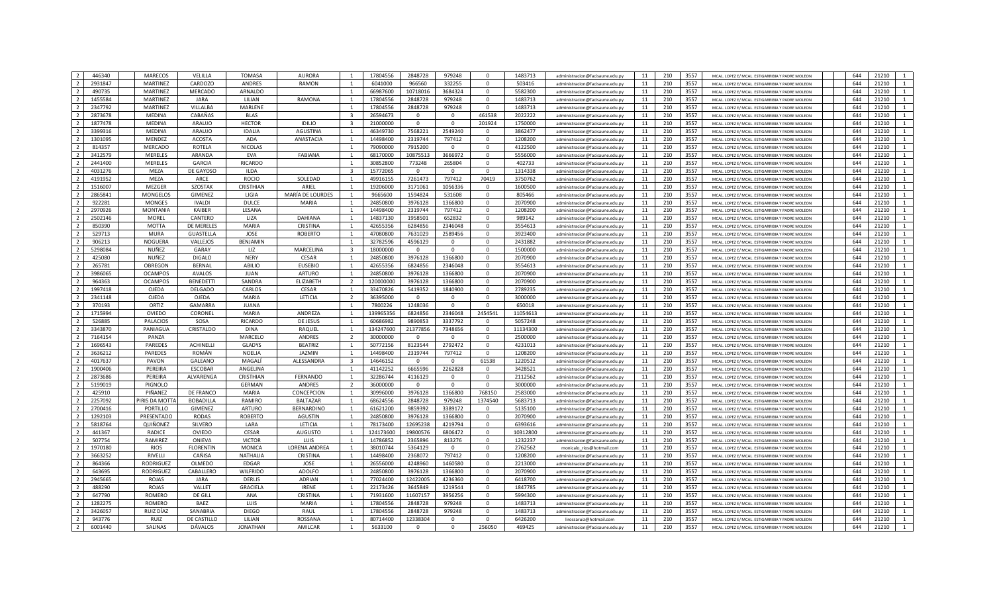|                | 446340  | <b>MARECOS</b>      | VELILLA          | <b>TOMASA</b>   | <b>AURORA</b>    |                         | 17804556  | 2848728        | 979248       | $\Omega$     | 1483713  | administracion@facisaune.edu.ny | 11 | 210 | 3557 | MCAL, LOPEZ E/ MCAL, ESTIGARRIBIA Y PADRE MOLEON | 644 | 21210                   |
|----------------|---------|---------------------|------------------|-----------------|------------------|-------------------------|-----------|----------------|--------------|--------------|----------|---------------------------------|----|-----|------|--------------------------------------------------|-----|-------------------------|
| $\overline{2}$ | 2931847 |                     | CARDOZO          |                 |                  |                         |           |                |              | $\Omega$     | 503416   |                                 |    | 210 | 3557 |                                                  | 644 | 21210                   |
|                |         | <b>MARTINEZ</b>     |                  | <b>ANDRES</b>   | <b>RAMON</b>     | $\overline{1}$          | 6041000   | 966560         | 332255       |              |          | administracion@facisaune.edu.py | 11 |     |      | MCAL. LOPEZ E/ MCAL. ESTIGARRIBIA Y PADRE MOLEON |     |                         |
| $\overline{2}$ | 490735  | <b>MARTINEZ</b>     | MERCADO          | ARNALDO         |                  | $\overline{1}$          | 66987600  | 10718016       | 3684324      | $\mathbf{0}$ | 5582300  | administracion@facisaune.edu.py | 11 | 210 | 3557 | MCAL. LOPEZ E/ MCAL. ESTIGARRIBIA Y PADRE MOLEON | 644 | 21210<br>1              |
| $\overline{2}$ | 1455584 | <b>MARTINEZ</b>     | <b>JARA</b>      | LILIAN          | RAMONA           | 1                       | 17804556  | 2848728        | 979248       | $\mathbf{0}$ | 1483713  | administracion@facisaune.edu.py | 11 | 210 | 3557 | MCAL, LOPEZ E/ MCAL, ESTIGARRIBIA Y PADRE MOLEON | 644 | 21210<br>$\mathbf{1}$   |
| $\overline{2}$ | 2347792 | MARTINEZ            | VILLALBA         | MARLENE         |                  | $\mathbf{1}$            | 17804556  | 2848728        | 979248       | $\mathbf{0}$ | 1483713  | administracion@facisaune.edu.py | 11 | 210 | 3557 | MCAL, LOPEZ E/ MCAL, ESTIGARRIBIA Y PADRE MOLEON | 644 | 21210<br>$\mathbf{1}$   |
| $\overline{2}$ | 2873678 | <b>MEDINA</b>       | CABAÑAS          | <b>BLAS</b>     |                  |                         | 26594673  |                | $\mathbf{0}$ | 461538       | 2022222  | administracion@facisaune.edu.pv | 11 | 210 | 3557 | MCAL, LOPEZ E/ MCAL, ESTIGARRIBIA Y PADRE MOLEON | 644 | 21210<br>1              |
| $\overline{2}$ | 1877478 | MEDINA              | ARAUJO           | <b>HECTOR</b>   | <b>IDILIO</b>    | 3                       | 21000000  | $\mathbf 0$    | $\mathbf{0}$ | 201924       | 1750000  | administracion@facisaune.edu.py | 11 | 210 | 3557 | MCAL. LOPEZ E/ MCAL. ESTIGARRIBIA Y PADRE MOLEON | 644 | 21210                   |
| $\overline{z}$ | 3399316 | <b>MEDINA</b>       | ARAUJO           | <b>IDALIA</b>   | <b>AGUSTINA</b>  | $\overline{1}$          | 46349730  | 7568221        | 2549240      | $\Omega$     | 3862477  | administracion@facisaune.edu.py | 11 | 210 | 3557 | MCAL, LOPEZ E/ MCAL, ESTIGARRIBIA Y PADRE MOLEON | 644 | 21210<br>$\mathbf{1}$   |
| $\overline{2}$ | 1301095 | MENDEZ              | <b>ACOSTA</b>    | <b>ADA</b>      | ANASTACIA        | $\overline{1}$          | 14498400  | 2319744        | 797412       | $\Omega$     | 1208200  | administracion@facisaune.edu.py | 11 | 210 | 3557 | MCAL. LOPEZ E/ MCAL. ESTIGARRIBIA Y PADRE MOLEON | 644 | 21210<br>$\mathbf{1}$   |
| $\overline{2}$ | 814357  | MERCADO             | ROTFLA           | <b>NICOLAS</b>  |                  | $\overline{1}$          | 79090000  |                | $\Omega$     | $\Omega$     |          |                                 |    | 210 | 3557 |                                                  | 644 | 21210<br>$\mathbf{1}$   |
|                |         |                     |                  |                 |                  |                         |           | 7915200        |              |              | 4122500  | administracion@facisaune.edu.ny | 11 |     |      | MCAL. LOPEZ E/ MCAL. ESTIGARRIBIA Y PADRE MOLEON |     |                         |
| $\overline{2}$ | 3412579 | <b>MERELES</b>      | ARANDA           | EVA             | FABIANA          | 1                       | 68170000  | 10875513       | 3666972      | $\mathbf{0}$ | 5556000  | administracion@facisaune.edu.py | 11 | 210 | 3557 | MCAL, LOPEZ E/ MCAL, ESTIGARRIBIA Y PADRE MOLEON | 644 | 21210<br>1              |
| $\overline{2}$ | 2441400 | <b>MERELES</b>      | <b>GARCIA</b>    | <b>RICARDO</b>  |                  |                         | 30852800  | 773248         | 265804       | $\Omega$     | 402733   | administracion@facisaune.edu.py | 11 | 210 | 3557 | MCAL. LOPEZ E/ MCAL. ESTIGARRIBIA Y PADRE MOLEON | 644 | 21210                   |
| $\overline{2}$ | 4031276 | MEZA                | DE GAYOSO        | <b>ILDA</b>     |                  | $\overline{3}$          | 15772065  | $\overline{0}$ | $\mathbf 0$  | $\mathbf 0$  | 1314338  | administracion@facisaune.edu.py | 11 | 210 | 3557 | MCAL. LOPEZ E/ MCAL. ESTIGARRIBIA Y PADRE MOLEON | 644 | $\mathbf{1}$<br>21210   |
| $\overline{2}$ | 4191952 | MEZA                | ARCE             | <b>ROCIO</b>    | SOLEDAD          | -1                      | 49916155  | 7261473        | 797412       | 70419        | 3750762  | administracion@facisaune.edu.py | 11 | 210 | 3557 | MCAL. LOPEZ E/ MCAL. ESTIGARRIBIA Y PADRE MOLEON | 644 | 21210<br>$\mathbf{1}$   |
| $\overline{2}$ | 1516007 | <b>MEZGER</b>       | <b>SZOSTAK</b>   | CRISTHIAN       | ARIEL            | $\overline{1}$          | 19206000  | 3171061        | 1056336      | $\Omega$     | 1600500  | administracion@facisaune.edu.ny | 11 | 210 | 3557 | MCAL. LOPEZ E/ MCAL. ESTIGARRIBIA Y PADRE MOLEON | 644 | 21210<br>1              |
| $\overline{2}$ | 2865841 | <b>MONGELOS</b>     | <b>GIMENEZ</b>   | LIGIA           | MARÍA DE LOURDES | $\overline{1}$          | 9665600   | 1594824        | 531608       | $\Omega$     | 805466   | administracion@facisaune.edu.py | 11 | 210 | 3557 | MCAL. LOPEZ E/ MCAL. ESTIGARRIBIA Y PADRE MOLEON | 644 | 21210<br>$\mathbf{1}$   |
| $\overline{2}$ | 922281  | <b>MONGES</b>       | <b>IVALDI</b>    | DULCE           | <b>MARIA</b>     | $\overline{1}$          | 24850800  | 3976128        | 1366800      | $\Omega$     | 2070900  | administracion@facisaune.edu.py | 11 | 210 | 3557 | MCAL. LOPEZ E/ MCAL. ESTIGARRIBIA Y PADRE MOLEON | 644 | 21210<br>$\mathbf{1}$   |
| $\overline{2}$ | 2970926 | <b>MONTANIA</b>     | KAIBER           | LESANA          |                  | $\mathbf{1}$            | 14498400  | 2319744        | 797412       | $\mathbf{0}$ | 1208200  |                                 | 11 | 210 | 3557 | MCAL, LOPEZ E/ MCAL, ESTIGARRIBIA Y PADRE MOLEON | 644 | 21210<br>1              |
|                |         |                     |                  |                 |                  |                         |           |                |              |              |          | administracion@facisaune.edu.py |    |     |      |                                                  |     |                         |
| $\overline{2}$ | 2502146 | <b>MOREL</b>        | CANTERO          | LIZA            | <b>DAHIANA</b>   | $\overline{1}$          | 14837130  | 1958501        | 652832       | $\Omega$     | 989142   | administracion@facisaune.edu.py | 11 | 210 | 3557 | MCAL. LOPEZ E/ MCAL. ESTIGARRIBIA Y PADRE MOLEON | 644 | 21210<br>$\mathbf{1}$   |
| $\overline{2}$ | 850390  | <b>MOTTA</b>        | DE MERELES       | <b>MARIA</b>    | CRISTINA         | $\mathbf{1}$            | 42655356  | 6284856        | 2346048      | $\mathbf 0$  | 3554613  | administracion@facisaune.edu.py | 11 | 210 | 3557 | MCAL, LOPEZ E/ MCAL, ESTIGARRIBIA Y PADRE MOLEON | 644 | 1<br>21210              |
| $\overline{2}$ | 529713  | MURA                | <b>GUASTELLA</b> | JOSE            | <b>ROBERTO</b>   | -1                      | 47080800  | 7631029        | 2589456      | $\mathbf 0$  | 3923400  | administracion@facisaune.edu.pv | 11 | 210 | 3557 | MCAL. LOPEZ E/ MCAL. ESTIGARRIBIA Y PADRE MOLEON | 644 | 21210<br>1              |
| $\overline{2}$ | 906213  | NOGUERA             | VALLEJOS         | BENJAMIN        |                  | $\overline{1}$          | 32782596  | 4596129        | $\Omega$     | $\Omega$     | 2431882  | administracion@facisaune.edu.ny | 11 | 210 | 3557 | MCAL. LOPEZ E/ MCAL. ESTIGARRIBIA Y PADRE MOLEON | 644 | 21210<br>1              |
| $\overline{2}$ | 5298084 | NUÑEZ               | GARAY            | LIZ             | MARCELINA        | $\mathbf{R}$            | 18000000  | $\overline{0}$ | $^{\circ}$   | $\Omega$     | 1500000  | administracion@facisaune.edu.py | 11 | 210 | 3557 | MCAL. LOPEZ E/ MCAL. ESTIGARRIBIA Y PADRE MOLEON | 644 | 21210<br>1              |
| $\overline{2}$ | 425080  | NUÑEZ               | <b>DIGALO</b>    | <b>NERY</b>     | CESAR            | $\overline{1}$          | 24850800  | 3976128        | 1366800      | $\Omega$     | 2070900  | administracion@facisaune.edu.pv | 11 | 210 | 3557 | MCAL. LOPEZ E/ MCAL. ESTIGARRIBIA Y PADRE MOLEON | 644 | 21210<br>$\mathbf{1}$   |
| $\overline{2}$ | 265781  | OBREGON             | <b>BERNAL</b>    | ABILIO          | <b>EUSEBIO</b>   | $\overline{1}$          | 42655356  | 6824856        | 2346048      | $\Omega$     | 3554613  | administracion@facisaune.edu.py | 11 | 210 | 3557 | MCAL, LOPEZ E/ MCAL, ESTIGARRIBIA Y PADRE MOLEON | 644 | 21210<br>$\mathbf{1}$   |
| $\overline{2}$ | 3986065 | <b>OCAMPOS</b>      | <b>AVALOS</b>    | <b>JUAN</b>     | <b>ARTURO</b>    |                         | 24850800  | 3976128        | 1366800      | $\Omega$     | 2070900  | administracion@facisaune.edu.py | 11 | 210 | 3557 | MCAL. LOPEZ E/ MCAL. ESTIGARRIBIA Y PADRE MOLEON | 644 | 21210<br>1              |
| $\overline{2}$ | 964363  |                     |                  |                 |                  | $\overline{2}$          |           |                |              | $\mathbf 0$  |          |                                 |    |     | 3557 |                                                  | 644 |                         |
|                |         | <b>OCAMPOS</b>      | <b>BENEDETTI</b> | SANDRA          | ELIZABETH        |                         | 120000000 | 3976128        | 1366800      |              | 2070900  | administracion@facisaune.edu.pv | 11 | 210 |      | MCAL, LOPEZ E/ MCAL, ESTIGARRIBIA Y PADRE MOLEON |     | 21210<br>1              |
| $\overline{2}$ | 1997418 | OJEDA               | DELGADO          | CARLOS          | CESAR            | $\overline{1}$          | 33470826  | 5419352        | 1840900      | $\mathbf 0$  | 2789235  | administracion@facisaune.edu.py | 11 | 210 | 3557 | MCAL. LOPEZ E/ MCAL. ESTIGARRIBIA Y PADRE MOLEON | 644 | 21210                   |
| $\overline{2}$ | 2341148 | <b>OJEDA</b>        | OJEDA            | <b>MARIA</b>    | LETICIA          | $\overline{2}$          | 36395000  | $\Omega$       | $\mathbf{0}$ | $\Omega$     | 3000000  | administracion@facisaune.edu.ny | 11 | 210 | 3557 | MCAL, LOPEZ E/ MCAL, ESTIGARRIBIA Y PADRE MOLEON | 644 | 21210<br>1              |
| $\overline{2}$ | 370193  | ORTIZ               | <b>GAMARRA</b>   | <b>JUANA</b>    |                  | $\overline{1}$          | 7800226   | 1248036        | $\Omega$     | $\Omega$     | 650018   | administracion@facisaune.edu.ny | 11 | 210 | 3557 | MCAL. LOPEZ E/ MCAL. ESTIGARRIBIA Y PADRE MOLEON | 644 | 21210<br>$\mathbf{1}$   |
| $\overline{2}$ | 1715994 | OVIEDO              | CORONEL          | <b>MARIA</b>    | ANDREZA          | $\overline{1}$          | 139965356 | 6824856        | 2346048      | 2454541      | 11054613 | administracion@facisaune.edu.py | 11 | 210 | 3557 | MCAL. LOPEZ E/ MCAL. ESTIGARRIBIA Y PADRE MOLEON | 644 | 21210<br>$\mathbf{1}$   |
| $\overline{2}$ | 526885  | <b>PALACIOS</b>     | SOSA             | <b>RICARDO</b>  | DE JESUS         | $\overline{1}$          | 60686982  | 9890853        | 3337792      | $\mathbf{0}$ | 5057248  | administracion@facisaune.edu.py | 11 | 210 | 3557 | MCAL. LOPEZ E/ MCAL. ESTIGARRIBIA Y PADRE MOLEON | 644 | 21210<br>$\mathbf{1}$   |
| $\overline{2}$ | 3343870 | PANIAGUA            | CRISTALDO        | <b>DINA</b>     | RAQUEL           |                         | 134247600 | 21377856       | 7348656      | $\mathbf 0$  | 11134300 | administracion@facisaune.edu.py | 11 | 210 | 3557 | MCAL. LOPEZ E/ MCAL. ESTIGARRIBIA Y PADRE MOLEON | 644 | 21210<br>$\mathbf{1}$   |
| $\overline{2}$ | 7164154 | PANZA               |                  | MARCELO         | <b>ANDRES</b>    | $\overline{2}$          | 30000000  | $\mathbf 0$    | $\mathbf 0$  | $\mathbf 0$  | 2500000  | administracion@facisaune.edu.py | 11 | 210 | 3557 | MCAL. LOPEZ E/ MCAL. ESTIGARRIBIA Y PADRE MOLEON | 644 | 21210<br>1              |
| $\overline{2}$ | 1696543 | PAREDES             | ACHINELLI        | <b>GLADYS</b>   | <b>BEATRIZ</b>   | 1                       | 50772156  | 8123544        | 2792472      | $\mathbf 0$  | 4231013  | administracion@facisaune.edu.py | 11 | 210 | 3557 | MCAL. LOPEZ E/ MCAL. ESTIGARRIBIA Y PADRE MOLEON | 644 | 21210<br>$\mathbf{1}$   |
| $\overline{2}$ |         |                     |                  |                 |                  |                         |           |                |              | $\Omega$     |          |                                 |    |     |      |                                                  |     |                         |
|                | 3636212 | PAREDES             | ROMÁN            | <b>NOELIA</b>   | JAZMIN           | $\overline{1}$          | 14498400  | 2319744        | 797412       |              | 1208200  | administracion@facisaune.edu.pv | 11 | 210 | 3557 | MCAL, LOPEZ E/ MCAL, ESTIGARRIBIA Y PADRE MOLEON | 644 | 21210<br>$\mathbf{1}$   |
| $\overline{2}$ | 4017637 | PAVON               | <b>GALEANO</b>   | MAGALI          | ALESSANDRA       | $\overline{\mathbf{3}}$ | 14646152  | $\Omega$       | $\Omega$     | 61538        | 1220512  | administracion@facisaune.edu.ny | 11 | 210 | 3557 | MCAL. LOPEZ E/ MCAL. ESTIGARRIBIA Y PADRE MOLEON | 644 | 21210<br>$\mathbf{1}$   |
| $\overline{2}$ | 1900406 | PEREIRA             | <b>ESCOBAR</b>   | ANGELINA        |                  | $\overline{1}$          | 41142252  | 6665596        | 2262828      | $\mathbf{0}$ | 3428521  | administracion@facisaune.edu.py | 11 | 210 | 3557 | MCAL. LOPEZ E/ MCAL. ESTIGARRIBIA Y PADRE MOLEON | 644 | 21210<br>$\overline{1}$ |
| $\overline{2}$ | 2873686 | PEREIRA             | ALVARENGA        | CRISTHIAN       | FERNANDO         | $\overline{1}$          | 32286744  | 4116129        | $\mathbf 0$  | $\mathbf{0}$ | 2112562  | administracion@facisaune.edu.py | 11 | 210 | 3557 | MCAL. LOPEZ E/ MCAL. ESTIGARRIBIA Y PADRE MOLEON | 644 | 21210<br>$\mathbf{1}$   |
| $\overline{2}$ | 5199019 | PIGNOLO             |                  | GERMAN          | ANDRES           | $\overline{2}$          | 36000000  | $\Omega$       | $\Omega$     | $\Omega$     | 3000000  | administracion@facisaune.edu.py | 11 | 210 | 3557 | MCAL. LOPEZ E/ MCAL. ESTIGARRIBIA Y PADRE MOLEON | 644 | 21210<br>$\mathbf{1}$   |
| $\overline{2}$ | 425910  | PIÑANEZ             | DE FRANCO        | MARIA           | CONCEPCION       |                         | 30996000  | 3976128        | 1366800      | 768150       | 2583000  | administracion@facisaune.edu.py | 11 | 210 | 3557 | MCAL. LOPEZ E/ MCAL. ESTIGARRIBIA Y PADRE MOLEON | 644 | 21210<br>$\mathbf{1}$   |
| $\overline{2}$ | 2257092 | <b>IRIS DA MOTT</b> | <b>BOBADILLA</b> | RAMIRO          | <b>BALTAZAR</b>  | 1                       | 68624556  | 2848728        | 979248       | 1374540      | 5683713  | administracion@facisaune.edu.py | 11 | 210 | 3557 | MCAL. LOPEZ E/ MCAL. ESTIGARRIBIA Y PADRE MOLEON | 644 | 21210<br>$\overline{1}$ |
| $\overline{2}$ | 2700416 | PORTILLO            | GIMENEZ          | <b>ARTURO</b>   | BERNARDINO       | $\overline{1}$          | 61621200  | 9859392        | 3389172      | $\Omega$     | 5135100  | administracion@facisaune.edu.pv | 11 | 210 | 3557 | MCAL, LOPEZ E/ MCAL, ESTIGARRIBIA Y PADRE MOLEON | 644 | 21210<br>$\mathbf{1}$   |
| $\overline{2}$ | 1292103 | PRESENTADO          | <b>RODAS</b>     | <b>ROBERTO</b>  | <b>AGUSTIN</b>   | $\overline{1}$          | 24850800  | 3976128        | 1366800      | $\Omega$     | 2070900  | administracion@facisaune.edu.py | 11 | 210 | 3557 | MCAL, LOPEZ E/ MCAL, ESTIGARRIBIA Y PADRE MOLEON | 644 | 21210<br>$\mathbf{1}$   |
| $\overline{2}$ | 5818764 | QUIÑONEZ            | <b>SILVERO</b>   | LARA            | LETICIA          | $\mathbf{1}$            | 78173400  | 12695238       | 4219794      | $\Omega$     | 6393616  |                                 |    | 210 | 3557 |                                                  | 644 | 21210<br>$\mathbf{1}$   |
|                |         |                     |                  |                 |                  |                         |           |                |              |              |          | administracion@facisaune.edu.pv | 11 |     |      | MCAL. LOPEZ E/ MCAL. ESTIGARRIBIA Y PADRE MOLEON |     |                         |
| $\overline{2}$ | 441367  | RADICE              | OVIEDO           | CESAR           | <b>AUGUSTO</b>   | $\overline{1}$          | 124173600 | 19800576       | 6806472      | $\mathbf{0}$ | 10312800 | administracion@facisaune.edu.py | 11 | 210 | 3557 | MCAL. LOPEZ E/ MCAL. ESTIGARRIBIA Y PADRE MOLEON | 644 | 1<br>21210              |
| $\overline{2}$ | 507754  | RAMIREZ             | ONIEVA           | <b>VICTOR</b>   | LUIS             |                         | 14786852  | 2365896        | 813276       | $\mathbf 0$  | 1232237  | administracion@facisaune.edu.py | 11 | 210 | 3557 | MCAL. LOPEZ E/ MCAL. ESTIGARRIBIA Y PADRE MOLEON | 644 | 21210<br>$\mathbf{1}$   |
| $\overline{2}$ | 1970180 | <b>RIOS</b>         | <b>FLORENTIN</b> | <b>MONICA</b>   | LORENA ANDREA    |                         | 38010744  | 5364129        | $\Omega$     | $\Omega$     | 2762562  | monicalo rios@hotmail.com       | 11 | 210 | 3557 | MCAL. LOPEZ E/ MCAL. ESTIGARRIBIA Y PADRE MOLEON | 644 | 21210                   |
| $\overline{2}$ | 3663252 | RIVELLI             | CAÑISA           | NATHALIA        | CRISTINA         | 1                       | 14498400  | 2368072        | 797412       | $\mathbf 0$  | 1208200  | administracion@facisaune.edu.pv | 11 | 210 | 3557 | MCAL. LOPEZ E/ MCAL. ESTIGARRIBIA Y PADRE MOLEON | 644 | 21210<br>$\mathbf{1}$   |
| $\overline{2}$ | 864366  | <b>RODRIGUEZ</b>    | OLMEDO           | <b>EDGAR</b>    | JOSE             | $\overline{1}$          | 26556000  | 4248960        | 1460580      | $\Omega$     | 2213000  | administracion@facisaune.edu.ny | 11 | 210 | 3557 | MCAL, LOPEZ E/ MCAL, ESTIGARRIBIA Y PADRE MOLEON | 644 | 21210<br>$\mathbf{1}$   |
| $\overline{2}$ | 643695  | RODRIGUEZ           | CABALLERO        | WILFRIDO        | <b>ADOLFO</b>    | $\overline{1}$          | 24850800  | 3976128        | 1366800      | $\Omega$     | 2070900  | administracion@facisaune.edu.py | 11 | 210 | 3557 | MCAL, LOPEZ E/ MCAL, ESTIGARRIBIA Y PADRE MOLEON | 644 | 21210<br>$\mathbf{1}$   |
| $\overline{2}$ | 2945665 | ROJAS               | <b>JARA</b>      | <b>DERLIS</b>   | <b>ADRIAN</b>    | $\overline{1}$          | 77024400  | 12422005       | 4236360      | $\mathbf{0}$ | 6418700  | administracion@facisaune.edu.pv | 11 | 210 | 3557 | MCAL. LOPEZ E/ MCAL. ESTIGARRIBIA Y PADRE MOLEON | 644 | 21210<br>$\overline{1}$ |
| $\overline{2}$ | 488290  | ROJAS               | VALLET           | GRACIELA        | <b>IRENE</b>     | $\mathbf{1}$            | 22173426  | 3645849        | 1219544      | $\mathbf 0$  | 1847785  | administracion@facisaune.edu.py | 11 | 210 | 3557 | MCAL. LOPEZ E/ MCAL. ESTIGARRIBIA Y PADRE MOLEON | 644 | 21210<br>$\mathbf{1}$   |
| $\overline{2}$ |         |                     |                  |                 |                  |                         |           |                |              |              |          |                                 |    |     |      |                                                  | 644 |                         |
|                | 647790  | <b>ROMERO</b>       | DE GILL          | ANA             | CRISTINA         |                         | 71931600  | 11607157       | 3956256      | $\mathbf 0$  | 5994300  | administracion@facisaune.edu.py | 11 | 210 | 3557 | MCAL. LOPEZ E/ MCAL. ESTIGARRIBIA Y PADRE MOLEON |     | 21210                   |
| $\overline{2}$ | 1282275 | <b>ROMERO</b>       | BAEZ             | LUIS            | <b>MARIA</b>     | $\overline{1}$          | 17804556  | 2848728        | 979248       | $\Omega$     | 1483713  | administracion@facisaune.edu.py | 11 | 210 | 3557 | MCAL. LOPEZ E/ MCAL. ESTIGARRIBIA Y PADRE MOLEON | 644 | 21210                   |
| $\overline{2}$ | 3426057 | RUIZ DÍAZ           | SANABRIA         | <b>DIEGO</b>    | RAUL             | 1                       | 17804556  | 2848728        | 979248       | $\mathbf 0$  | 1483713  | administracion@facisaune.edu.py | 11 | 210 | 3557 | MCAL. LOPEZ E/ MCAL. ESTIGARRIBIA Y PADRE MOLEON | 644 | 21210<br>$\overline{1}$ |
| $\overline{2}$ | 943776  | <b>RUIZ</b>         | DE CASTILLO      | LILIAN          | <b>ROSSANA</b>   | <sup>1</sup>            | 80714400  | 12338304       | $\Omega$     | $\mathbf{0}$ | 6426200  | lirossaruiz@hotmail.com         | 11 | 210 | 3557 | MCAL, LOPEZ E/ MCAL, ESTIGARRIBIA Y PADRE MOLEON | 644 | 21210<br>$\mathbf{1}$   |
| $\overline{2}$ | 6001440 | <b>SALINAS</b>      | <b>DÁVALOS</b>   | <b>JONATHAN</b> | AMILCAR          | $\overline{1}$          | 5633100   | $\Omega$       | $\Omega$     | 256050       | 469425   | administracion@facisaune.edu.py | 11 | 210 | 3557 | MCAL. LOPEZ E/ MCAL. ESTIGARRIBIA Y PADRE MOLEON | 644 | 21210<br>$\overline{1}$ |